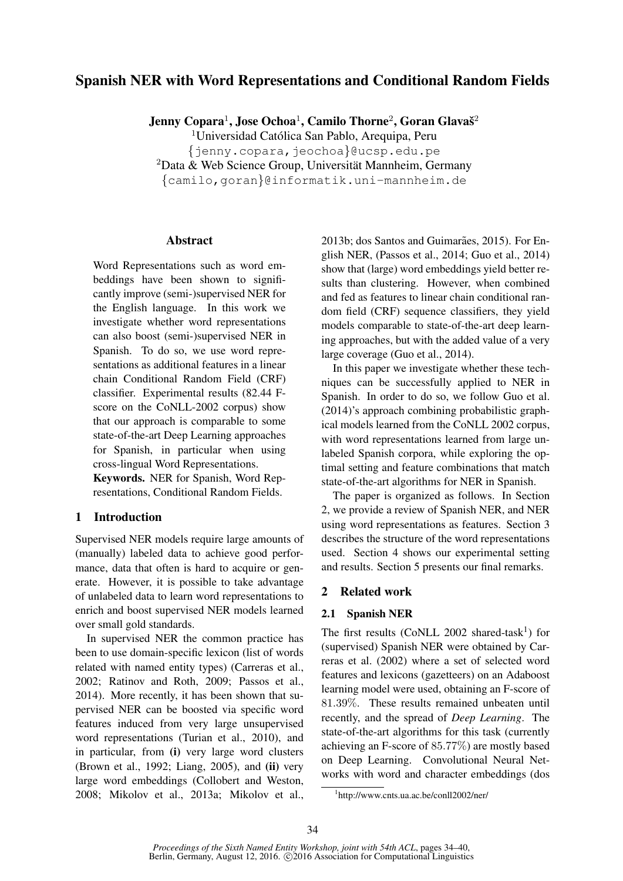# Spanish NER with Word Representations and Conditional Random Fields

Jenny Copara<sup>1</sup>, Jose Ochoa<sup>1</sup>, Camilo Thorne<sup>2</sup>, Goran Glavaš<sup>2</sup>

<sup>1</sup>Universidad Católica San Pablo, Arequipa, Peru

{jenny.copara,jeochoa}@ucsp.edu.pe

 $2$ Data & Web Science Group, Universität Mannheim, Germany

{camilo,goran}@informatik.uni-mannheim.de

## Abstract

Word Representations such as word embeddings have been shown to significantly improve (semi-)supervised NER for the English language. In this work we investigate whether word representations can also boost (semi-)supervised NER in Spanish. To do so, we use word representations as additional features in a linear chain Conditional Random Field (CRF) classifier. Experimental results (82.44 Fscore on the CoNLL-2002 corpus) show that our approach is comparable to some state-of-the-art Deep Learning approaches for Spanish, in particular when using cross-lingual Word Representations.

Keywords. NER for Spanish, Word Representations, Conditional Random Fields.

# 1 Introduction

Supervised NER models require large amounts of (manually) labeled data to achieve good performance, data that often is hard to acquire or generate. However, it is possible to take advantage of unlabeled data to learn word representations to enrich and boost supervised NER models learned over small gold standards.

In supervised NER the common practice has been to use domain-specific lexicon (list of words related with named entity types) (Carreras et al., 2002; Ratinov and Roth, 2009; Passos et al., 2014). More recently, it has been shown that supervised NER can be boosted via specific word features induced from very large unsupervised word representations (Turian et al., 2010), and in particular, from (i) very large word clusters (Brown et al., 1992; Liang, 2005), and (ii) very large word embeddings (Collobert and Weston, 2008; Mikolov et al., 2013a; Mikolov et al.,

2013b; dos Santos and Guimarães, 2015). For English NER, (Passos et al., 2014; Guo et al., 2014) show that (large) word embeddings yield better results than clustering. However, when combined and fed as features to linear chain conditional random field (CRF) sequence classifiers, they yield models comparable to state-of-the-art deep learning approaches, but with the added value of a very large coverage (Guo et al., 2014).

In this paper we investigate whether these techniques can be successfully applied to NER in Spanish. In order to do so, we follow Guo et al. (2014)'s approach combining probabilistic graphical models learned from the CoNLL 2002 corpus, with word representations learned from large unlabeled Spanish corpora, while exploring the optimal setting and feature combinations that match state-of-the-art algorithms for NER in Spanish.

The paper is organized as follows. In Section 2, we provide a review of Spanish NER, and NER using word representations as features. Section 3 describes the structure of the word representations used. Section 4 shows our experimental setting and results. Section 5 presents our final remarks.

# 2 Related work

## 2.1 Spanish NER

The first results (CoNLL 2002 shared-task<sup>1</sup>) for (supervised) Spanish NER were obtained by Carreras et al. (2002) where a set of selected word features and lexicons (gazetteers) on an Adaboost learning model were used, obtaining an F-score of 81.39%. These results remained unbeaten until recently, and the spread of *Deep Learning*. The state-of-the-art algorithms for this task (currently achieving an F-score of 85.77%) are mostly based on Deep Learning. Convolutional Neural Networks with word and character embeddings (dos

<sup>1</sup> http://www.cnts.ua.ac.be/conll2002/ner/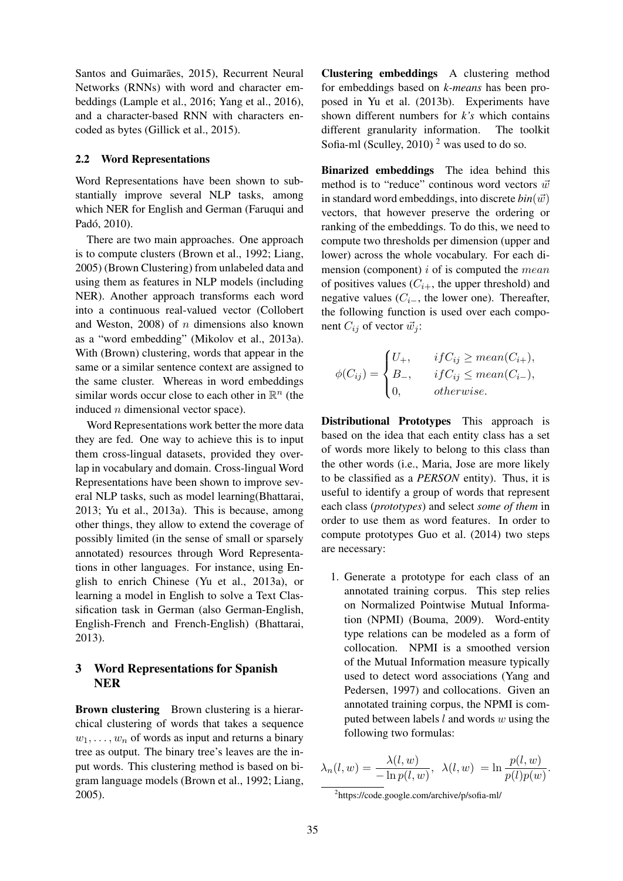Santos and Guimarães, 2015), Recurrent Neural Networks (RNNs) with word and character embeddings (Lample et al., 2016; Yang et al., 2016), and a character-based RNN with characters encoded as bytes (Gillick et al., 2015).

#### 2.2 Word Representations

Word Representations have been shown to substantially improve several NLP tasks, among which NER for English and German (Faruqui and Padó, 2010).

There are two main approaches. One approach is to compute clusters (Brown et al., 1992; Liang, 2005) (Brown Clustering) from unlabeled data and using them as features in NLP models (including NER). Another approach transforms each word into a continuous real-valued vector (Collobert and Weston, 2008) of  $n$  dimensions also known as a "word embedding" (Mikolov et al., 2013a). With (Brown) clustering, words that appear in the same or a similar sentence context are assigned to the same cluster. Whereas in word embeddings similar words occur close to each other in  $\mathbb{R}^n$  (the induced  $n$  dimensional vector space).

Word Representations work better the more data they are fed. One way to achieve this is to input them cross-lingual datasets, provided they overlap in vocabulary and domain. Cross-lingual Word Representations have been shown to improve several NLP tasks, such as model learning(Bhattarai, 2013; Yu et al., 2013a). This is because, among other things, they allow to extend the coverage of possibly limited (in the sense of small or sparsely annotated) resources through Word Representations in other languages. For instance, using English to enrich Chinese (Yu et al., 2013a), or learning a model in English to solve a Text Classification task in German (also German-English, English-French and French-English) (Bhattarai, 2013).

## 3 Word Representations for Spanish NER

Brown clustering Brown clustering is a hierarchical clustering of words that takes a sequence  $w_1, \ldots, w_n$  of words as input and returns a binary tree as output. The binary tree's leaves are the input words. This clustering method is based on bigram language models (Brown et al., 1992; Liang, 2005).

Clustering embeddings A clustering method for embeddings based on *k-means* has been proposed in Yu et al. (2013b). Experiments have shown different numbers for *k's* which contains different granularity information. The toolkit Sofia-ml (Sculley, 2010)<sup>2</sup> was used to do so.

Binarized embeddings The idea behind this method is to "reduce" continous word vectors  $\vec{w}$ in standard word embeddings, into discrete  $bin(\vec{w})$ vectors, that however preserve the ordering or ranking of the embeddings. To do this, we need to compute two thresholds per dimension (upper and lower) across the whole vocabulary. For each dimension (component)  $i$  of is computed the *mean* of positives values  $(C_{i+}$ , the upper threshold) and negative values ( $C_{i-}$ , the lower one). Thereafter, the following function is used over each component  $C_{ij}$  of vector  $\vec{w}_j$ :

$$
\phi(C_{ij}) = \begin{cases} U_+, & if C_{ij} \geq mean(C_{i+}), \\ B_-, & if C_{ij} \leq mean(C_{i-}), \\ 0, & otherwise. \end{cases}
$$

Distributional Prototypes This approach is based on the idea that each entity class has a set of words more likely to belong to this class than the other words (i.e., Maria, Jose are more likely to be classified as a *PERSON* entity). Thus, it is useful to identify a group of words that represent each class (*prototypes*) and select *some of them* in order to use them as word features. In order to compute prototypes Guo et al. (2014) two steps are necessary:

1. Generate a prototype for each class of an annotated training corpus. This step relies on Normalized Pointwise Mutual Information (NPMI) (Bouma, 2009). Word-entity type relations can be modeled as a form of collocation. NPMI is a smoothed version of the Mutual Information measure typically used to detect word associations (Yang and Pedersen, 1997) and collocations. Given an annotated training corpus, the NPMI is computed between labels  $l$  and words  $w$  using the following two formulas:

$$
\lambda_n(l, w) = \frac{\lambda(l, w)}{-\ln p(l, w)}, \ \lambda(l, w) = \ln \frac{p(l, w)}{p(l)p(w)}.
$$

<sup>2</sup> https://code.google.com/archive/p/sofia-ml/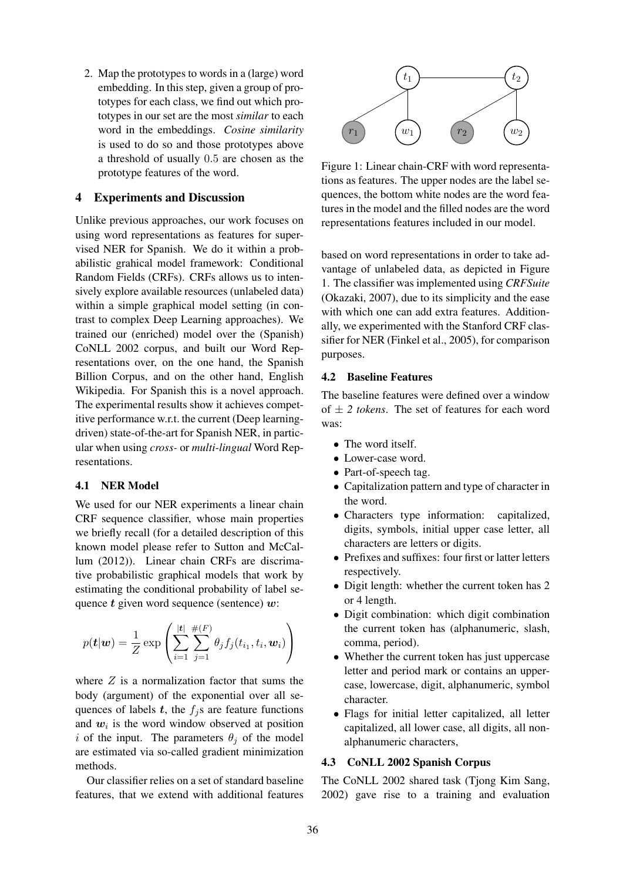2. Map the prototypes to words in a (large) word embedding. In this step, given a group of prototypes for each class, we find out which prototypes in our set are the most *similar* to each word in the embeddings. *Cosine similarity* is used to do so and those prototypes above a threshold of usually 0.5 are chosen as the prototype features of the word.

### 4 Experiments and Discussion

Unlike previous approaches, our work focuses on using word representations as features for supervised NER for Spanish. We do it within a probabilistic grahical model framework: Conditional Random Fields (CRFs). CRFs allows us to intensively explore available resources (unlabeled data) within a simple graphical model setting (in contrast to complex Deep Learning approaches). We trained our (enriched) model over the (Spanish) CoNLL 2002 corpus, and built our Word Representations over, on the one hand, the Spanish Billion Corpus, and on the other hand, English Wikipedia. For Spanish this is a novel approach. The experimental results show it achieves competitive performance w.r.t. the current (Deep learningdriven) state-of-the-art for Spanish NER, in particular when using *cross-* or *multi-lingual* Word Representations.

## 4.1 NER Model

We used for our NER experiments a linear chain CRF sequence classifier, whose main properties we briefly recall (for a detailed description of this known model please refer to Sutton and McCallum (2012)). Linear chain CRFs are discrimative probabilistic graphical models that work by estimating the conditional probability of label sequence  $t$  given word sequence (sentence)  $w$ :

$$
p(\mathbf{t}|\mathbf{w}) = \frac{1}{Z} \exp \left( \sum_{i=1}^{|\mathbf{t}|} \sum_{j=1}^{\#(F)} \theta_j f_j(t_{i_1}, t_i, \mathbf{w}_i) \right)
$$

where  $Z$  is a normalization factor that sums the body (argument) of the exponential over all sequences of labels  $t$ , the  $f_i$ s are feature functions and  $w_i$  is the word window observed at position i of the input. The parameters  $\theta_i$  of the model are estimated via so-called gradient minimization methods.

Our classifier relies on a set of standard baseline features, that we extend with additional features



Figure 1: Linear chain-CRF with word representations as features. The upper nodes are the label sequences, the bottom white nodes are the word features in the model and the filled nodes are the word representations features included in our model.

based on word representations in order to take advantage of unlabeled data, as depicted in Figure 1. The classifier was implemented using *CRFSuite* (Okazaki, 2007), due to its simplicity and the ease with which one can add extra features. Additionally, we experimented with the Stanford CRF classifier for NER (Finkel et al., 2005), for comparison purposes.

### 4.2 Baseline Features

The baseline features were defined over a window of  $\pm$  2 *tokens*. The set of features for each word was:

- The word itself.
- Lower-case word.
- Part-of-speech tag.
- Capitalization pattern and type of character in the word.
- Characters type information: capitalized, digits, symbols, initial upper case letter, all characters are letters or digits.
- Prefixes and suffixes: four first or latter letters respectively.
- Digit length: whether the current token has 2 or 4 length.
- Digit combination: which digit combination the current token has (alphanumeric, slash, comma, period).
- Whether the current token has just uppercase letter and period mark or contains an uppercase, lowercase, digit, alphanumeric, symbol character.
- Flags for initial letter capitalized, all letter capitalized, all lower case, all digits, all nonalphanumeric characters,

## 4.3 CoNLL 2002 Spanish Corpus

The CoNLL 2002 shared task (Tjong Kim Sang, 2002) gave rise to a training and evaluation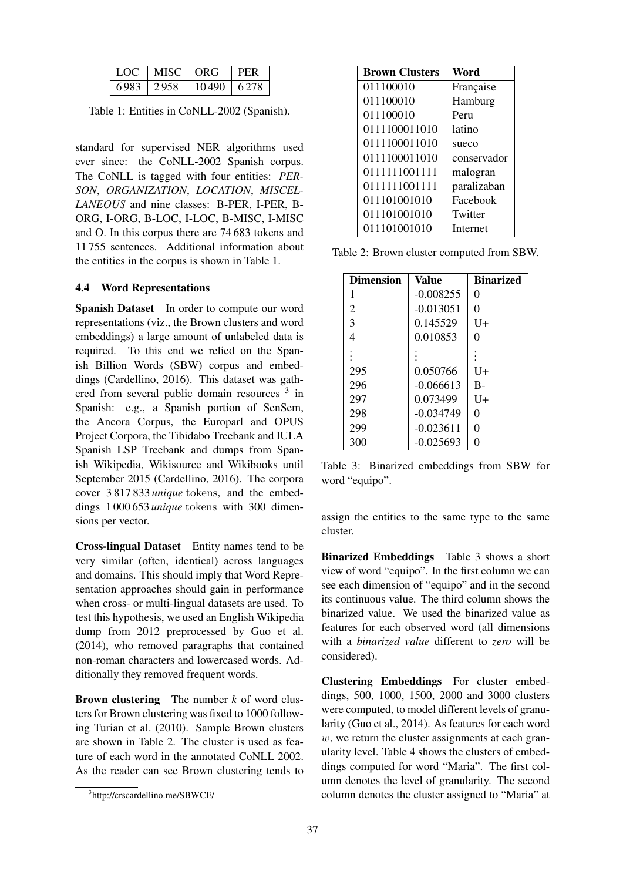| 1.OC | MISC. | ∣ ORG | PER   |
|------|-------|-------|-------|
| 6983 | -2958 | 10490 | 6.278 |

Table 1: Entities in CoNLL-2002 (Spanish).

standard for supervised NER algorithms used ever since: the CoNLL-2002 Spanish corpus. The CoNLL is tagged with four entities: *PER-SON*, *ORGANIZATION*, *LOCATION*, *MISCEL-LANEOUS* and nine classes: B-PER, I-PER, B-ORG, I-ORG, B-LOC, I-LOC, B-MISC, I-MISC and O. In this corpus there are 74 683 tokens and 11 755 sentences. Additional information about the entities in the corpus is shown in Table 1.

### 4.4 Word Representations

Spanish Dataset In order to compute our word representations (viz., the Brown clusters and word embeddings) a large amount of unlabeled data is required. To this end we relied on the Spanish Billion Words (SBW) corpus and embeddings (Cardellino, 2016). This dataset was gathered from several public domain resources <sup>3</sup> in Spanish: e.g., a Spanish portion of SenSem, the Ancora Corpus, the Europarl and OPUS Project Corpora, the Tibidabo Treebank and IULA Spanish LSP Treebank and dumps from Spanish Wikipedia, Wikisource and Wikibooks until September 2015 (Cardellino, 2016). The corpora cover 3 817 833 *unique* tokens, and the embeddings 1 000 653 *unique* tokens with 300 dimensions per vector.

Cross-lingual Dataset Entity names tend to be very similar (often, identical) across languages and domains. This should imply that Word Representation approaches should gain in performance when cross- or multi-lingual datasets are used. To test this hypothesis, we used an English Wikipedia dump from 2012 preprocessed by Guo et al. (2014), who removed paragraphs that contained non-roman characters and lowercased words. Additionally they removed frequent words.

Brown clustering The number *k* of word clusters for Brown clustering was fixed to 1000 following Turian et al. (2010). Sample Brown clusters are shown in Table 2. The cluster is used as feature of each word in the annotated CoNLL 2002. As the reader can see Brown clustering tends to

| <b>Brown Clusters</b> | Word        |
|-----------------------|-------------|
| 011100010             | Française   |
| 011100010             | Hamburg     |
| 011100010             | Peru        |
| 0111100011010         | latino      |
| 0111100011010         | sueco       |
| 0111100011010         | conservador |
| 0111111001111         | malogran    |
| 0111111001111         | paralizaban |
| 011101001010          | Facebook    |
| 011101001010          | Twitter     |
| 011101001010          | Internet    |

Table 2: Brown cluster computed from SBW.

| <b>Dimension</b> | Value       | <b>Binarized</b> |
|------------------|-------------|------------------|
| 1                | $-0.008255$ | 0                |
| 2                | $-0.013051$ | 0                |
| 3                | 0.145529    | $U+$             |
| 4                | 0.010853    | 0                |
|                  |             |                  |
| 295              | 0.050766    | U+               |
| 296              | $-0.066613$ | $B -$            |
| 297              | 0.073499    | $U+$             |
| 298              | $-0.034749$ | 0                |
| 299              | $-0.023611$ | 0                |
| 300              | $-0.025693$ | 0                |

Table 3: Binarized embeddings from SBW for word "equipo".

assign the entities to the same type to the same cluster.

Binarized Embeddings Table 3 shows a short view of word "equipo". In the first column we can see each dimension of "equipo" and in the second its continuous value. The third column shows the binarized value. We used the binarized value as features for each observed word (all dimensions with a *binarized value* different to *zero* will be considered).

Clustering Embeddings For cluster embeddings, 500, 1000, 1500, 2000 and 3000 clusters were computed, to model different levels of granularity (Guo et al., 2014). As features for each word  $w$ , we return the cluster assignments at each granularity level. Table 4 shows the clusters of embeddings computed for word "Maria". The first column denotes the level of granularity. The second column denotes the cluster assigned to "Maria" at

<sup>3</sup> http://crscardellino.me/SBWCE/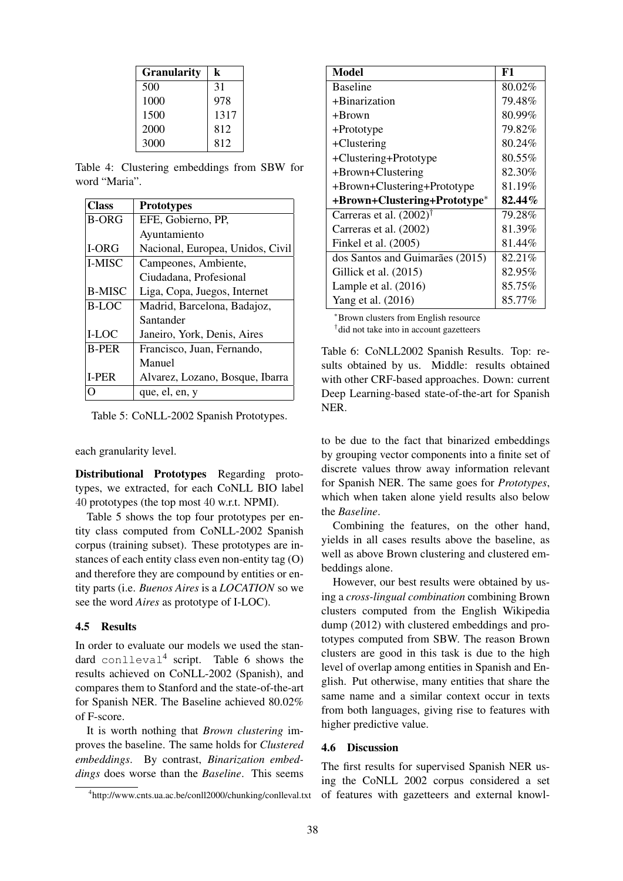| <b>Granularity</b> | k    |
|--------------------|------|
| 500                | 31   |
| 1000               | 978  |
| 1500               | 1317 |
| 2000               | 812  |
| 3000               | 812  |

Table 4: Clustering embeddings from SBW for word "Maria".

| <b>Class</b>  | <b>Prototypes</b>                |
|---------------|----------------------------------|
| <b>B-ORG</b>  | EFE, Gobierno, PP,               |
|               | Ayuntamiento                     |
| I-ORG         | Nacional, Europea, Unidos, Civil |
| I-MISC        | Campeones, Ambiente,             |
|               | Ciudadana, Profesional           |
| <b>B-MISC</b> | Liga, Copa, Juegos, Internet     |
| <b>B-LOC</b>  | Madrid, Barcelona, Badajoz,      |
|               | Santander                        |
| I-LOC         | Janeiro, York, Denis, Aires      |
| <b>B-PER</b>  | Francisco, Juan, Fernando,       |
|               | Manuel                           |
| <b>I-PER</b>  | Alvarez, Lozano, Bosque, Ibarra  |
|               | que, el, en, y                   |

Table 5: CoNLL-2002 Spanish Prototypes.

each granularity level.

Distributional Prototypes Regarding prototypes, we extracted, for each CoNLL BIO label 40 prototypes (the top most 40 w.r.t. NPMI).

Table 5 shows the top four prototypes per entity class computed from CoNLL-2002 Spanish corpus (training subset). These prototypes are instances of each entity class even non-entity tag (O) and therefore they are compound by entities or entity parts (i.e. *Buenos Aires* is a *LOCATION* so we see the word *Aires* as prototype of I-LOC).

#### 4.5 Results

In order to evaluate our models we used the standard conlleval<sup>4</sup> script. Table 6 shows the results achieved on CoNLL-2002 (Spanish), and compares them to Stanford and the state-of-the-art for Spanish NER. The Baseline achieved 80.02% of F-score.

It is worth nothing that *Brown clustering* improves the baseline. The same holds for *Clustered embeddings*. By contrast, *Binarization embeddings* does worse than the *Baseline*. This seems

| <b>Model</b>                       | F1        |
|------------------------------------|-----------|
| <b>Baseline</b>                    | 80.02%    |
| +Binarization                      | 79.48%    |
| +Brown                             | 80.99%    |
| +Prototype                         | 79.82%    |
| $+Clustering$                      | 80.24%    |
| +Clustering+Prototype              | 80.55%    |
| +Brown+Clustering                  | 82.30%    |
| +Brown+Clustering+Prototype        | 81.19%    |
| +Brown+Clustering+Prototype*       | $82.44\%$ |
| Carreras et al. $(2002)^{\dagger}$ | 79.28%    |
| Carreras et al. (2002)             | 81.39%    |
| Finkel et al. (2005)               | 81.44%    |
| dos Santos and Guimarães (2015)    | 82.21%    |
| Gillick et al. (2015)              | 82.95%    |
| Lample et al. $(2016)$             | 85.75%    |
| Yang et al. (2016)                 | 85.77%    |

<sup>∗</sup>Brown clusters from English resource † did not take into in account gazetteers

Table 6: CoNLL2002 Spanish Results. Top: results obtained by us. Middle: results obtained with other CRF-based approaches. Down: current Deep Learning-based state-of-the-art for Spanish NER.

to be due to the fact that binarized embeddings by grouping vector components into a finite set of discrete values throw away information relevant for Spanish NER. The same goes for *Prototypes*, which when taken alone yield results also below the *Baseline*.

Combining the features, on the other hand, yields in all cases results above the baseline, as well as above Brown clustering and clustered embeddings alone.

However, our best results were obtained by using a *cross-lingual combination* combining Brown clusters computed from the English Wikipedia dump (2012) with clustered embeddings and prototypes computed from SBW. The reason Brown clusters are good in this task is due to the high level of overlap among entities in Spanish and English. Put otherwise, many entities that share the same name and a similar context occur in texts from both languages, giving rise to features with higher predictive value.

#### 4.6 Discussion

The first results for supervised Spanish NER using the CoNLL 2002 corpus considered a set of features with gazetteers and external knowl-

<sup>4</sup> http://www.cnts.ua.ac.be/conll2000/chunking/conlleval.txt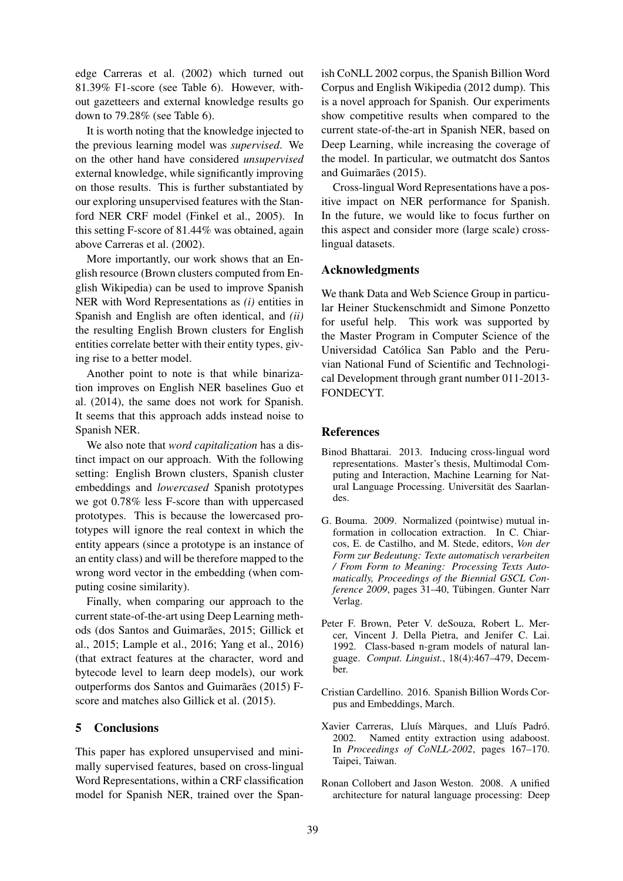edge Carreras et al. (2002) which turned out 81.39% F1-score (see Table 6). However, without gazetteers and external knowledge results go down to 79.28% (see Table 6).

It is worth noting that the knowledge injected to the previous learning model was *supervised*. We on the other hand have considered *unsupervised* external knowledge, while significantly improving on those results. This is further substantiated by our exploring unsupervised features with the Stanford NER CRF model (Finkel et al., 2005). In this setting F-score of 81.44% was obtained, again above Carreras et al. (2002).

More importantly, our work shows that an English resource (Brown clusters computed from English Wikipedia) can be used to improve Spanish NER with Word Representations as *(i)* entities in Spanish and English are often identical, and *(ii)* the resulting English Brown clusters for English entities correlate better with their entity types, giving rise to a better model.

Another point to note is that while binarization improves on English NER baselines Guo et al. (2014), the same does not work for Spanish. It seems that this approach adds instead noise to Spanish NER.

We also note that *word capitalization* has a distinct impact on our approach. With the following setting: English Brown clusters, Spanish cluster embeddings and *lowercased* Spanish prototypes we got 0.78% less F-score than with uppercased prototypes. This is because the lowercased prototypes will ignore the real context in which the entity appears (since a prototype is an instance of an entity class) and will be therefore mapped to the wrong word vector in the embedding (when computing cosine similarity).

Finally, when comparing our approach to the current state-of-the-art using Deep Learning methods (dos Santos and Guimarães, 2015; Gillick et al., 2015; Lample et al., 2016; Yang et al., 2016) (that extract features at the character, word and bytecode level to learn deep models), our work outperforms dos Santos and Guimarães (2015) Fscore and matches also Gillick et al. (2015).

## 5 Conclusions

This paper has explored unsupervised and minimally supervised features, based on cross-lingual Word Representations, within a CRF classification model for Spanish NER, trained over the Spanish CoNLL 2002 corpus, the Spanish Billion Word Corpus and English Wikipedia (2012 dump). This is a novel approach for Spanish. Our experiments show competitive results when compared to the current state-of-the-art in Spanish NER, based on Deep Learning, while increasing the coverage of the model. In particular, we outmatcht dos Santos and Guimarães (2015).

Cross-lingual Word Representations have a positive impact on NER performance for Spanish. In the future, we would like to focus further on this aspect and consider more (large scale) crosslingual datasets.

## Acknowledgments

We thank Data and Web Science Group in particular Heiner Stuckenschmidt and Simone Ponzetto for useful help. This work was supported by the Master Program in Computer Science of the Universidad Catolica San Pablo and the Peru- ´ vian National Fund of Scientific and Technological Development through grant number 011-2013- FONDECYT.

### **References**

- Binod Bhattarai. 2013. Inducing cross-lingual word representations. Master's thesis, Multimodal Computing and Interaction, Machine Learning for Natural Language Processing. Universität des Saarlandes.
- G. Bouma. 2009. Normalized (pointwise) mutual information in collocation extraction. In C. Chiarcos, E. de Castilho, and M. Stede, editors, *Von der Form zur Bedeutung: Texte automatisch verarbeiten / From Form to Meaning: Processing Texts Automatically, Proceedings of the Biennial GSCL Conference 2009*, pages 31–40, Tübingen. Gunter Narr Verlag.
- Peter F. Brown, Peter V. deSouza, Robert L. Mercer, Vincent J. Della Pietra, and Jenifer C. Lai. 1992. Class-based n-gram models of natural language. *Comput. Linguist.*, 18(4):467–479, December.
- Cristian Cardellino. 2016. Spanish Billion Words Corpus and Embeddings, March.
- Xavier Carreras, Lluís Màrques, and Lluís Padró. 2002. Named entity extraction using adaboost. In *Proceedings of CoNLL-2002*, pages 167–170. Taipei, Taiwan.
- Ronan Collobert and Jason Weston. 2008. A unified architecture for natural language processing: Deep